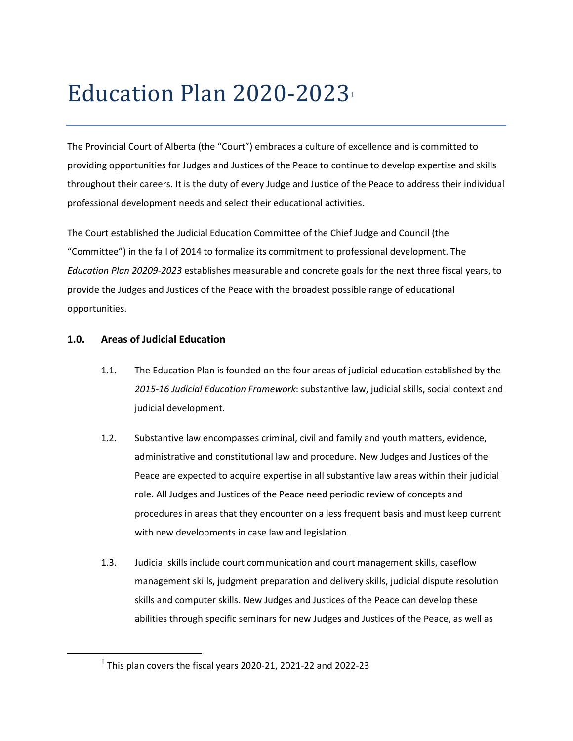# Education Plan 2020-2023

The Provincial Court of Alberta (the "Court") embraces a culture of excellence and is committed to providing opportunities for Judges and Justices of the Peace to continue to develop expertise and skills throughout their careers. It is the duty of every Judge and Justice of the Peace to address their individual professional development needs and select their educational activities.

The Court established the Judicial Education Committee of the Chief Judge and Council (the "Committee") in the fall of 2014 to formalize its commitment to professional development. The *Education Plan 20209-2023* establishes measurable and concrete goals for the next three fiscal years, to provide the Judges and Justices of the Peace with the broadest possible range of educational opportunities.

# **1.0. Areas of Judicial Education**

<span id="page-0-0"></span> $\overline{\phantom{a}}$ 

- 1.1. The Education Plan is founded on the four areas of judicial education established by the *2015-16 Judicial Education Framework*: substantive law, judicial skills, social context and judicial development.
- 1.2. Substantive law encompasses criminal, civil and family and youth matters, evidence, administrative and constitutional law and procedure. New Judges and Justices of the Peace are expected to acquire expertise in all substantive law areas within their judicial role. All Judges and Justices of the Peace need periodic review of concepts and procedures in areas that they encounter on a less frequent basis and must keep current with new developments in case law and legislation.
- 1.3. Judicial skills include court communication and court management skills, caseflow management skills, judgment preparation and delivery skills, judicial dispute resolution skills and computer skills. New Judges and Justices of the Peace can develop these abilities through specific seminars for new Judges and Justices of the Peace, as well as

 $1$  This plan covers the fiscal years 2020-21, 2021-22 and 2022-23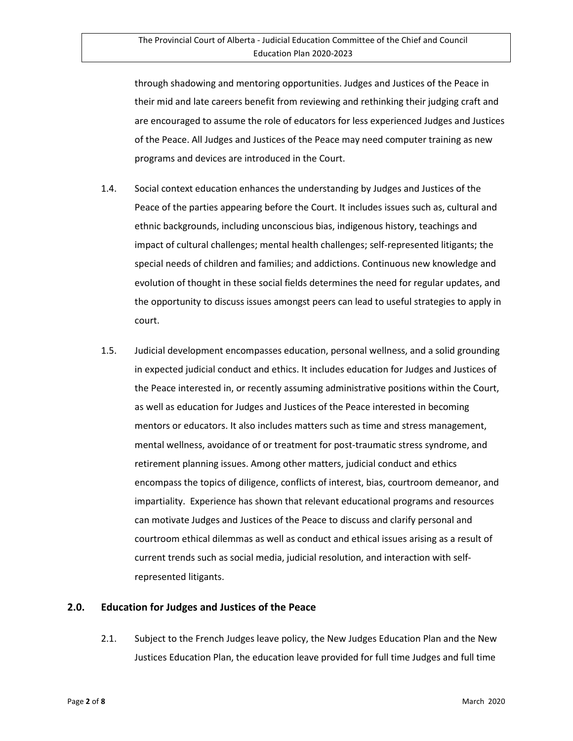through shadowing and mentoring opportunities. Judges and Justices of the Peace in their mid and late careers benefit from reviewing and rethinking their judging craft and are encouraged to assume the role of educators for less experienced Judges and Justices of the Peace. All Judges and Justices of the Peace may need computer training as new programs and devices are introduced in the Court.

- 1.4. Social context education enhances the understanding by Judges and Justices of the Peace of the parties appearing before the Court. It includes issues such as, cultural and ethnic backgrounds, including unconscious bias, indigenous history, teachings and impact of cultural challenges; mental health challenges; self-represented litigants; the special needs of children and families; and addictions. Continuous new knowledge and evolution of thought in these social fields determines the need for regular updates, and the opportunity to discuss issues amongst peers can lead to useful strategies to apply in court.
- 1.5. Judicial development encompasses education, personal wellness, and a solid grounding in expected judicial conduct and ethics. It includes education for Judges and Justices of the Peace interested in, or recently assuming administrative positions within the Court, as well as education for Judges and Justices of the Peace interested in becoming mentors or educators. It also includes matters such as time and stress management, mental wellness, avoidance of or treatment for post-traumatic stress syndrome, and retirement planning issues. Among other matters, judicial conduct and ethics encompass the topics of diligence, conflicts of interest, bias, courtroom demeanor, and impartiality. Experience has shown that relevant educational programs and resources can motivate Judges and Justices of the Peace to discuss and clarify personal and courtroom ethical dilemmas as well as conduct and ethical issues arising as a result of current trends such as social media, judicial resolution, and interaction with selfrepresented litigants.

#### **2.0. Education for Judges and Justices of the Peace**

2.1. Subject to the French Judges leave policy, the New Judges Education Plan and the New Justices Education Plan, the education leave provided for full time Judges and full time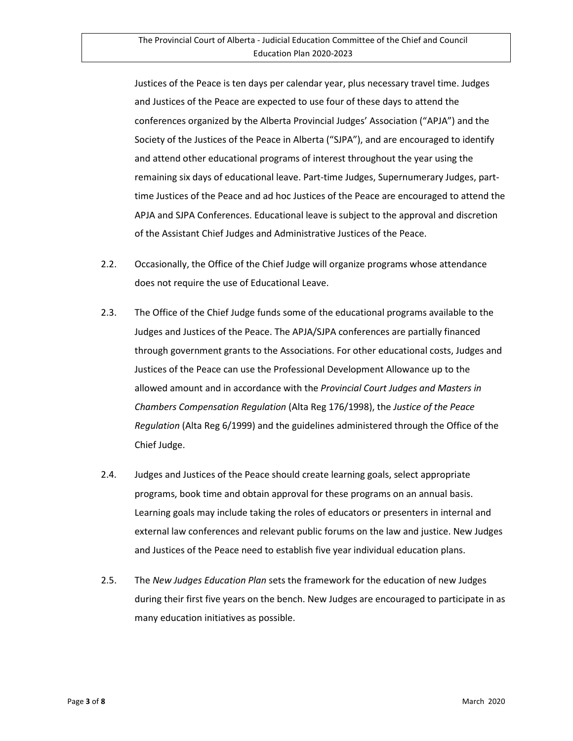Justices of the Peace is ten days per calendar year, plus necessary travel time. Judges and Justices of the Peace are expected to use four of these days to attend the conferences organized by the Alberta Provincial Judges' Association ("APJA") and the Society of the Justices of the Peace in Alberta ("SJPA"), and are encouraged to identify and attend other educational programs of interest throughout the year using the remaining six days of educational leave. Part-time Judges, Supernumerary Judges, parttime Justices of the Peace and ad hoc Justices of the Peace are encouraged to attend the APJA and SJPA Conferences. Educational leave is subject to the approval and discretion of the Assistant Chief Judges and Administrative Justices of the Peace.

- 2.2. Occasionally, the Office of the Chief Judge will organize programs whose attendance does not require the use of Educational Leave.
- 2.3. The Office of the Chief Judge funds some of the educational programs available to the Judges and Justices of the Peace. The APJA/SJPA conferences are partially financed through government grants to the Associations. For other educational costs, Judges and Justices of the Peace can use the Professional Development Allowance up to the allowed amount and in accordance with the *Provincial Court Judges and Masters in Chambers Compensation Regulation* (Alta Reg 176/1998), the *Justice of the Peace Regulation* (Alta Reg 6/1999) and the guidelines administered through the Office of the Chief Judge.
- 2.4. Judges and Justices of the Peace should create learning goals, select appropriate programs, book time and obtain approval for these programs on an annual basis. Learning goals may include taking the roles of educators or presenters in internal and external law conferences and relevant public forums on the law and justice. New Judges and Justices of the Peace need to establish five year individual education plans.
- 2.5. The *New Judges Education Plan* sets the framework for the education of new Judges during their first five years on the bench. New Judges are encouraged to participate in as many education initiatives as possible.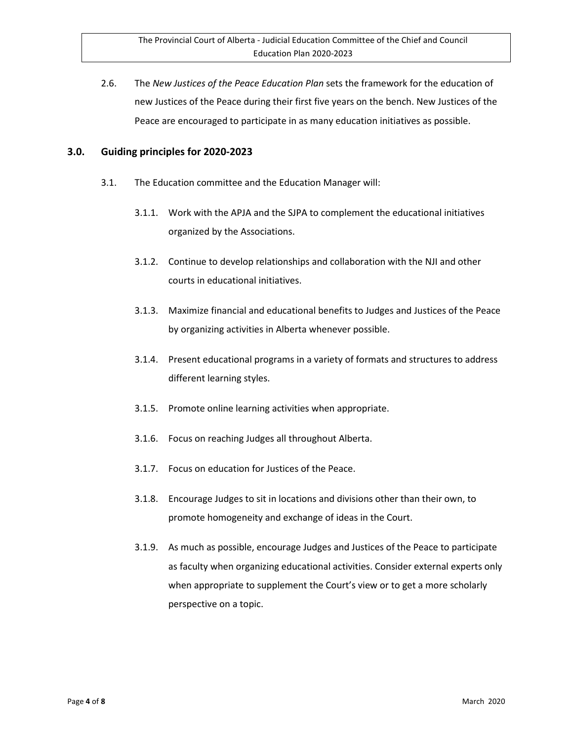2.6. The *New Justices of the Peace Education Plan* sets the framework for the education of new Justices of the Peace during their first five years on the bench. New Justices of the Peace are encouraged to participate in as many education initiatives as possible.

#### **3.0. Guiding principles for 2020-2023**

- 3.1. The Education committee and the Education Manager will:
	- 3.1.1. Work with the APJA and the SJPA to complement the educational initiatives organized by the Associations.
	- 3.1.2. Continue to develop relationships and collaboration with the NJI and other courts in educational initiatives.
	- 3.1.3. Maximize financial and educational benefits to Judges and Justices of the Peace by organizing activities in Alberta whenever possible.
	- 3.1.4. Present educational programs in a variety of formats and structures to address different learning styles.
	- 3.1.5. Promote online learning activities when appropriate.
	- 3.1.6. Focus on reaching Judges all throughout Alberta.
	- 3.1.7. Focus on education for Justices of the Peace.
	- 3.1.8. Encourage Judges to sit in locations and divisions other than their own, to promote homogeneity and exchange of ideas in the Court.
	- 3.1.9. As much as possible, encourage Judges and Justices of the Peace to participate as faculty when organizing educational activities. Consider external experts only when appropriate to supplement the Court's view or to get a more scholarly perspective on a topic.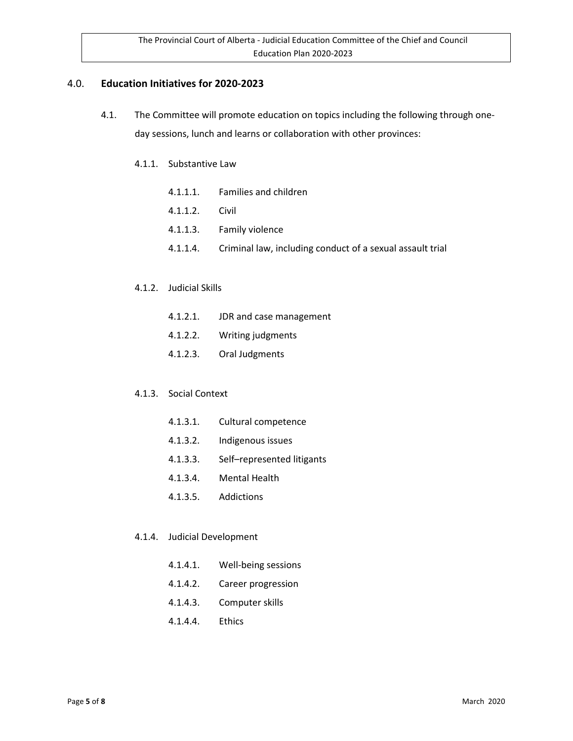### 4.0. **Education Initiatives for 2020-2023**

- 4.1. The Committee will promote education on topics including the following through oneday sessions, lunch and learns or collaboration with other provinces:
	- 4.1.1. Substantive Law
		- 4.1.1.1. Families and children
		- 4.1.1.2. Civil
		- 4.1.1.3. Family violence
		- 4.1.1.4. Criminal law, including conduct of a sexual assault trial

#### 4.1.2. Judicial Skills

- 4.1.2.1. JDR and case management
- 4.1.2.2. Writing judgments
- 4.1.2.3. Oral Judgments

#### 4.1.3. Social Context

- 4.1.3.1. Cultural competence
- 4.1.3.2. Indigenous issues
- 4.1.3.3. Self–represented litigants
- 4.1.3.4. Mental Health
- 4.1.3.5. Addictions

#### 4.1.4. Judicial Development

- 4.1.4.1. Well-being sessions
- 4.1.4.2. Career progression
- 4.1.4.3. Computer skills
- 4.1.4.4. Ethics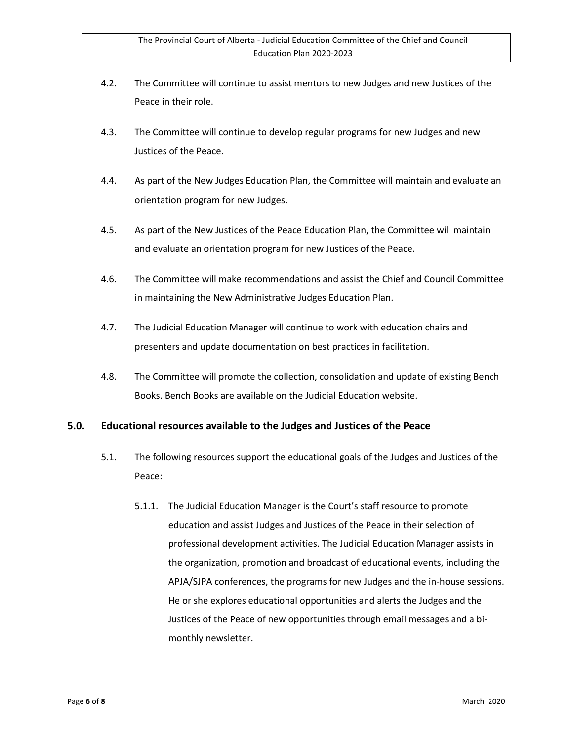- 4.2. The Committee will continue to assist mentors to new Judges and new Justices of the Peace in their role.
- 4.3. The Committee will continue to develop regular programs for new Judges and new Justices of the Peace.
- 4.4. As part of the New Judges Education Plan, the Committee will maintain and evaluate an orientation program for new Judges.
- 4.5. As part of the New Justices of the Peace Education Plan, the Committee will maintain and evaluate an orientation program for new Justices of the Peace.
- 4.6. The Committee will make recommendations and assist the Chief and Council Committee in maintaining the New Administrative Judges Education Plan.
- 4.7. The Judicial Education Manager will continue to work with education chairs and presenters and update documentation on best practices in facilitation.
- 4.8. The Committee will promote the collection, consolidation and update of existing Bench Books. Bench Books are available on the Judicial Education website.

# **5.0. Educational resources available to the Judges and Justices of the Peace**

- 5.1. The following resources support the educational goals of the Judges and Justices of the Peace:
	- 5.1.1. The Judicial Education Manager is the Court's staff resource to promote education and assist Judges and Justices of the Peace in their selection of professional development activities. The Judicial Education Manager assists in the organization, promotion and broadcast of educational events, including the APJA/SJPA conferences, the programs for new Judges and the in-house sessions. He or she explores educational opportunities and alerts the Judges and the Justices of the Peace of new opportunities through email messages and a bimonthly newsletter.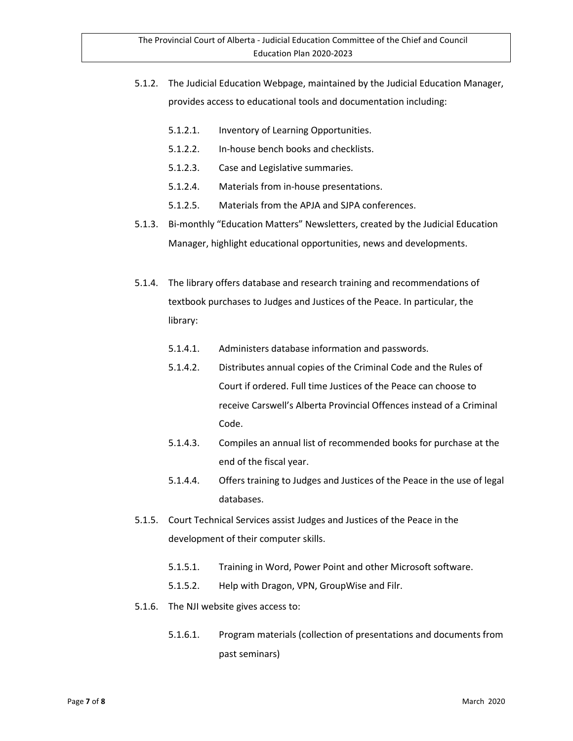- 5.1.2. The Judicial Education Webpage, maintained by the Judicial Education Manager, provides access to educational tools and documentation including:
	- 5.1.2.1. Inventory of Learning Opportunities.
	- 5.1.2.2. In-house bench books and checklists.
	- 5.1.2.3. Case and Legislative summaries.
	- 5.1.2.4. Materials from in-house presentations.
	- 5.1.2.5. Materials from the APJA and SJPA conferences.
- 5.1.3. Bi-monthly "Education Matters" Newsletters, created by the Judicial Education Manager, highlight educational opportunities, news and developments.
- 5.1.4. The library offers database and research training and recommendations of textbook purchases to Judges and Justices of the Peace. In particular, the library:
	- 5.1.4.1. Administers database information and passwords.
	- 5.1.4.2. Distributes annual copies of the Criminal Code and the Rules of Court if ordered. Full time Justices of the Peace can choose to receive Carswell's Alberta Provincial Offences instead of a Criminal Code.
	- 5.1.4.3. Compiles an annual list of recommended books for purchase at the end of the fiscal year.
	- 5.1.4.4. Offers training to Judges and Justices of the Peace in the use of legal databases.
- 5.1.5. Court Technical Services assist Judges and Justices of the Peace in the development of their computer skills.
	- 5.1.5.1. Training in Word, Power Point and other Microsoft software.
	- 5.1.5.2. Help with Dragon, VPN, GroupWise and Filr.
- 5.1.6. The NJI website gives access to:
	- 5.1.6.1. Program materials (collection of presentations and documents from past seminars)